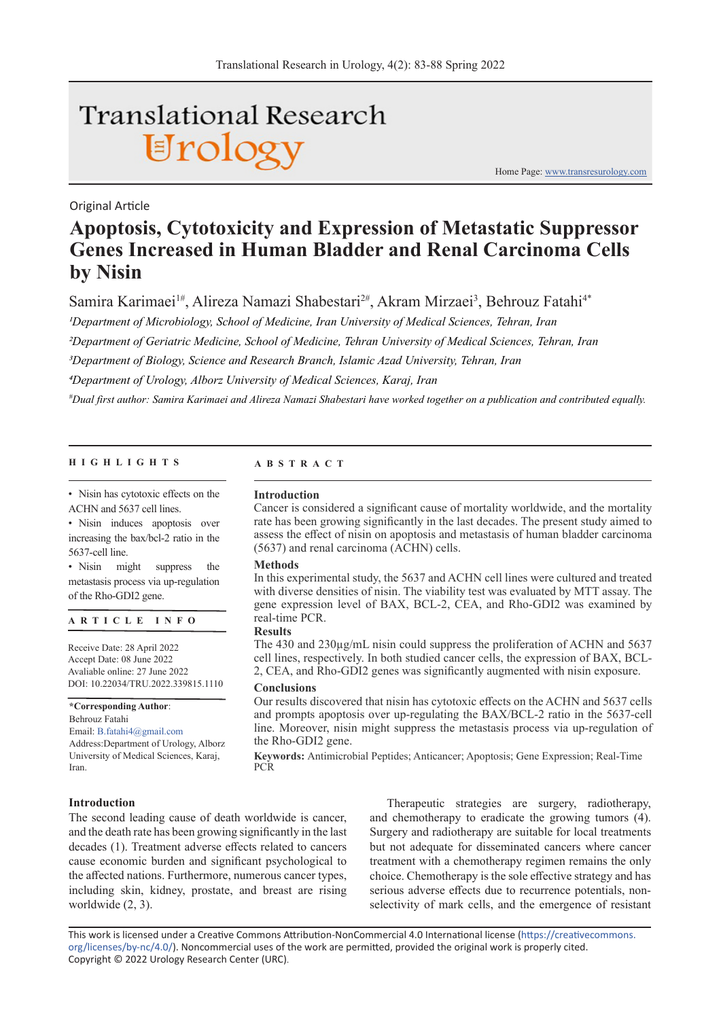# **Translational Research** Urology

Home Page: www.transresurology.com

### Original Article

## **Apoptosis, Cytotoxicity and Expression of Metastatic Suppressor Genes Increased in Human Bladder and Renal Carcinoma Cells by Nisin**

Samira Karimaei<sup>1#</sup>, Alireza Namazi Shabestari<sup>2#</sup>, Akram Mirzaei<sup>3</sup>, Behrouz Fatahi<sup>4\*</sup>

*1Department of Microbiology, School of Medicine, Iran University of Medical Sciences, Tehran, Iran*

*2Department of Geriatric Medicine, School of Medicine, Tehran University of Medical Sciences, Tehran, Iran*

*3Department of Biology, Science and Research Branch, Islamic Azad University, Tehran, Iran*

*4Department of Urology, Alborz University of Medical Sciences, Karaj, Iran*

*# Dual first author: Samira Karimaei and Alireza Namazi Shabestari have worked together on a publication and contributed equally.*

#### **HIGHLIGHTS ABSTRACT**

• Nisin has cytotoxic effects on the ACHN and 5637 cell lines.

• Nisin induces apoptosis over increasing the bax/bcl-2 ratio in the 5637-cell line.

• Nisin might suppress the metastasis process via up-regulation of the Rho-GDI2 gene.

#### **ARTICLE INFO**

Receive Date: 28 April 2022 Accept Date: 08 June 2022 Avaliable online: 27 June 2022 DOI: 10.22034/TRU.2022.339815.1110

**\*Corresponding Author**: Behrouz Fatahi

Email: B.fatahi4@gmail.com Address:Department of Urology, Alborz University of Medical Sciences, Karaj, Iran.

#### **Introduction**

**Introduction**

Cancer is considered a significant cause of mortality worldwide, and the mortality rate has been growing significantly in the last decades. The present study aimed to assess the effect of nisin on apoptosis and metastasis of human bladder carcinoma (5637) and renal carcinoma (ACHN) cells.

#### **Methods**

In this experimental study, the 5637 and ACHN cell lines were cultured and treated with diverse densities of nisin. The viability test was evaluated by MTT assay. The gene expression level of BAX, BCL-2, CEA, and Rho-GDI2 was examined by real-time PCR.

#### **Results**

The 430 and 230µg/mL nisin could suppress the proliferation of ACHN and 5637 cell lines, respectively. In both studied cancer cells, the expression of BAX, BCL-2, CEA, and Rho-GDI2 genes was significantly augmented with nisin exposure.

#### **Conclusions**

Our results discovered that nisin has cytotoxic effects on the ACHN and 5637 cells and prompts apoptosis over up-regulating the BAX/BCL-2 ratio in the 5637-cell line. Moreover, nisin might suppress the metastasis process via up-regulation of the Rho-GDI2 gene.

**Keywords:** Antimicrobial Peptides; Anticancer; Apoptosis; Gene Expression; Real-Time PCR

The second leading cause of death worldwide is cancer, and the death rate has been growing significantly in the last decades (1). Treatment adverse effects related to cancers cause economic burden and significant psychological to the affected nations. Furthermore, numerous cancer types, including skin, kidney, prostate, and breast are rising worldwide (2, 3).

Therapeutic strategies are surgery, radiotherapy, and chemotherapy to eradicate the growing tumors (4). Surgery and radiotherapy are suitable for local treatments but not adequate for disseminated cancers where cancer treatment with a chemotherapy regimen remains the only choice. Chemotherapy is the sole effective strategy and has serious adverse effects due to recurrence potentials, nonselectivity of mark cells, and the emergence of resistant

This work is licensed under a Creative Commons Attribution-NonCommercial 4.0 International license (https://creativecommons. org/licenses/by-nc/4.0/). Noncommercial uses of the work are permitted, provided the original work is properly cited. Copyright © 2022 Urology Research Center (URC).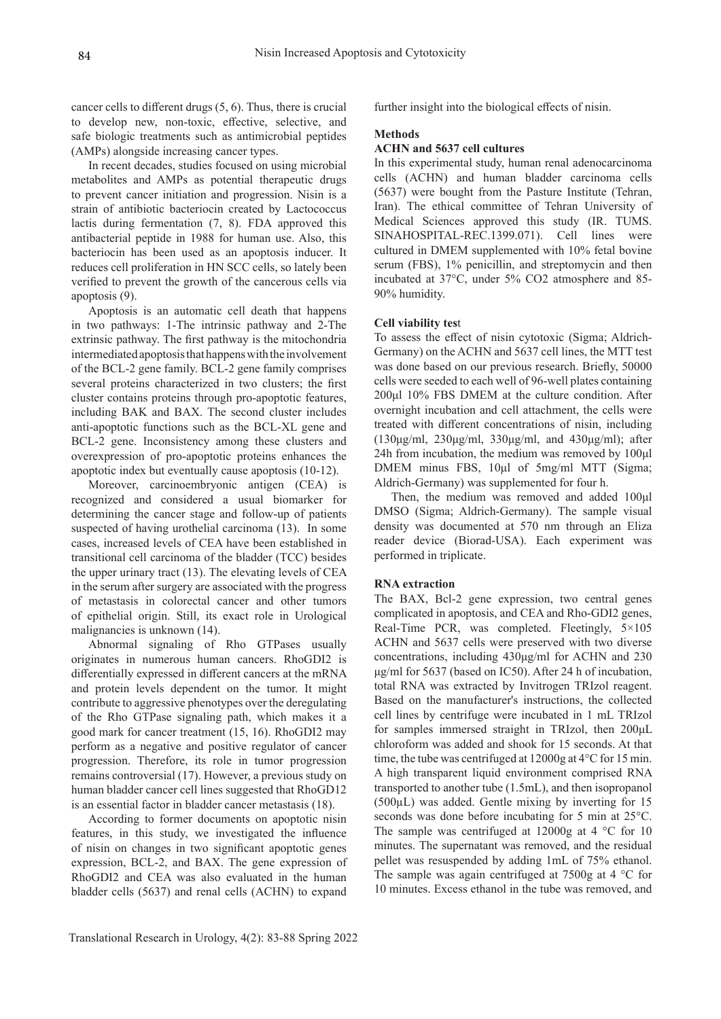cancer cells to different drugs (5, 6). Thus, there is crucial to develop new, non-toxic, effective, selective, and safe biologic treatments such as antimicrobial peptides (AMPs) alongside increasing cancer types.

In recent decades, studies focused on using microbial metabolites and AMPs as potential therapeutic drugs to prevent cancer initiation and progression. Nisin is a strain of antibiotic bacteriocin created by Lactococcus lactis during fermentation (7, 8). FDA approved this antibacterial peptide in 1988 for human use. Also, this bacteriocin has been used as an apoptosis inducer. It reduces cell proliferation in HN SCC cells, so lately been verified to prevent the growth of the cancerous cells via apoptosis (9).

Apoptosis is an automatic cell death that happens in two pathways: 1-The intrinsic pathway and 2-The extrinsic pathway. The first pathway is the mitochondria intermediated apoptosis that happens with the involvement of the BCL-2 gene family. BCL-2 gene family comprises several proteins characterized in two clusters; the first cluster contains proteins through pro-apoptotic features, including BAK and BAX. The second cluster includes anti-apoptotic functions such as the BCL-XL gene and BCL-2 gene. Inconsistency among these clusters and overexpression of pro-apoptotic proteins enhances the apoptotic index but eventually cause apoptosis (10-12).

Moreover, carcinoembryonic antigen (CEA) is recognized and considered a usual biomarker for determining the cancer stage and follow-up of patients suspected of having urothelial carcinoma (13). In some cases, increased levels of CEA have been established in transitional cell carcinoma of the bladder (TCC) besides the upper urinary tract (13). The elevating levels of CEA in the serum after surgery are associated with the progress of metastasis in colorectal cancer and other tumors of epithelial origin. Still, its exact role in Urological malignancies is unknown (14).

Abnormal signaling of Rho GTPases usually originates in numerous human cancers. RhoGDI2 is differentially expressed in different cancers at the mRNA and protein levels dependent on the tumor. It might contribute to aggressive phenotypes over the deregulating of the Rho GTPase signaling path, which makes it a good mark for cancer treatment (15, 16). RhoGDI2 may perform as a negative and positive regulator of cancer progression. Therefore, its role in tumor progression remains controversial (17). However, a previous study on human bladder cancer cell lines suggested that RhoGD12 is an essential factor in bladder cancer metastasis (18).

According to former documents on apoptotic nisin features, in this study, we investigated the influence of nisin on changes in two significant apoptotic genes expression, BCL-2, and BAX. The gene expression of RhoGDI2 and CEA was also evaluated in the human bladder cells (5637) and renal cells (ACHN) to expand

further insight into the biological effects of nisin.

#### **Methods**

#### **ACHN and 5637 cell cultures**

In this experimental study, human renal adenocarcinoma cells (ACHN) and human bladder carcinoma cells (5637) were bought from the Pasture Institute (Tehran, Iran). The ethical committee of Tehran University of Medical Sciences approved this study (IR. TUMS. SINAHOSPITAL-REC.1399.071). Cell lines were cultured in DMEM supplemented with 10% fetal bovine serum (FBS), 1% penicillin, and streptomycin and then incubated at 37°C, under 5% CO2 atmosphere and 85- 90% humidity.

#### **Cell viability tes**t

To assess the effect of nisin cytotoxic (Sigma; Aldrich-Germany) on the ACHN and 5637 cell lines, the MTT test was done based on our previous research. Briefly, 50000 cells were seeded to each well of 96-well plates containing 200μl 10% FBS DMEM at the culture condition. After overnight incubation and cell attachment, the cells were treated with different concentrations of nisin, including (130μg/ml, 230μg/ml, 330μg/ml, and 430μg/ml); after 24h from incubation, the medium was removed by 100μl DMEM minus FBS, 10μl of 5mg/ml MTT (Sigma; Aldrich-Germany) was supplemented for four h.

Then, the medium was removed and added 100μl DMSO (Sigma; Aldrich-Germany). The sample visual density was documented at 570 nm through an Eliza reader device (Biorad-USA). Each experiment was performed in triplicate.

#### **RNA extraction**

The BAX, Bcl-2 gene expression, two central genes complicated in apoptosis, and CEA and Rho-GDI2 genes, Real-Time PCR, was completed. Fleetingly, 5×105 ACHN and 5637 cells were preserved with two diverse concentrations, including 430μg/ml for ACHN and 230 μg/ml for 5637 (based on IC50). After 24 h of incubation, total RNA was extracted by Invitrogen TRIzol reagent. Based on the manufacturer's instructions, the collected cell lines by centrifuge were incubated in 1 mL TRIzol for samples immersed straight in TRIzol, then 200μL chloroform was added and shook for 15 seconds. At that time, the tube was centrifuged at 12000g at 4°C for 15 min. A high transparent liquid environment comprised RNA transported to another tube (1.5mL), and then isopropanol (500µL) was added. Gentle mixing by inverting for 15 seconds was done before incubating for 5 min at 25°C. The sample was centrifuged at  $12000g$  at  $4 °C$  for  $10$ minutes. The supernatant was removed, and the residual pellet was resuspended by adding 1mL of 75% ethanol. The sample was again centrifuged at  $7500g$  at  $4 °C$  for 10 minutes. Excess ethanol in the tube was removed, and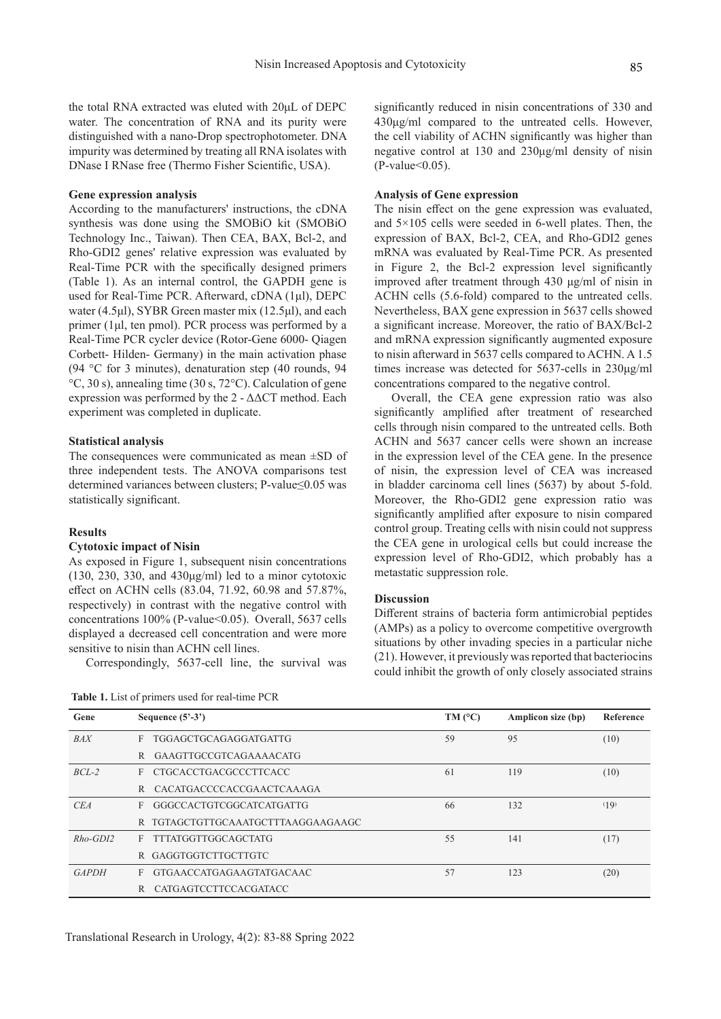the total RNA extracted was eluted with 20μL of DEPC water. The concentration of RNA and its purity were distinguished with a nano-Drop spectrophotometer. DNA impurity was determined by treating all RNA isolates with DNase I RNase free (Thermo Fisher Scientific, USA).

#### **Gene expression analysis**

According to the manufacturers' instructions, the cDNA synthesis was done using the SMOBiO kit (SMOBiO Technology Inc., Taiwan). Then CEA, BAX, Bcl-2, and Rho-GDI2 genes' relative expression was evaluated by Real-Time PCR with the specifically designed primers (Table 1). As an internal control, the GAPDH gene is used for Real-Time PCR. Afterward, cDNA (1μl), DEPC water (4.5μl), SYBR Green master mix (12.5μl), and each primer (1μl, ten pmol). PCR process was performed by a Real-Time PCR cycler device (Rotor-Gene 6000- Qiagen Corbett- Hilden- Germany) in the main activation phase (94 °C for 3 minutes), denaturation step (40 rounds, 94 °C, 30 s), annealing time (30 s, 72°C). Calculation of gene expression was performed by the 2 - ΔΔCT method. Each experiment was completed in duplicate.

#### **Statistical analysis**

The consequences were communicated as mean ±SD of three independent tests. The ANOVA comparisons test determined variances between clusters; P-value≤0.05 was statistically significant.

#### **Results**

#### **Cytotoxic impact of Nisin**

As exposed in Figure 1, subsequent nisin concentrations (130, 230, 330, and  $430\mu\text{g/ml}$ ) led to a minor cytotoxic effect on ACHN cells (83.04, 71.92, 60.98 and 57.87%, respectively) in contrast with the negative control with concentrations 100% (P-value<0.05). Overall, 5637 cells displayed a decreased cell concentration and were more sensitive to nisin than ACHN cell lines.

Correspondingly, 5637-cell line, the survival was

**Table 1.** List of primers used for real-time PCR

significantly reduced in nisin concentrations of 330 and 430μg/ml compared to the untreated cells. However, the cell viability of ACHN significantly was higher than negative control at 130 and 230μg/ml density of nisin  $(P-value<0.05)$ .

#### **Analysis of Gene expression**

The nisin effect on the gene expression was evaluated, and  $5 \times 105$  cells were seeded in 6-well plates. Then, the expression of BAX, Bcl-2, CEA, and Rho-GDI2 genes mRNA was evaluated by Real-Time PCR. As presented in Figure 2, the Bcl-2 expression level significantly improved after treatment through 430 μg/ml of nisin in ACHN cells (5.6-fold) compared to the untreated cells. Nevertheless, BAX gene expression in 5637 cells showed a significant increase. Moreover, the ratio of BAX/Bcl-2 and mRNA expression significantly augmented exposure to nisin afterward in 5637 cells compared to ACHN. A 1.5 times increase was detected for 5637-cells in 230μg/ml concentrations compared to the negative control.

Overall, the CEA gene expression ratio was also significantly amplified after treatment of researched cells through nisin compared to the untreated cells. Both ACHN and 5637 cancer cells were shown an increase in the expression level of the CEA gene. In the presence of nisin, the expression level of CEA was increased in bladder carcinoma cell lines (5637) by about 5-fold. Moreover, the Rho-GDI2 gene expression ratio was significantly amplified after exposure to nisin compared control group. Treating cells with nisin could not suppress the CEA gene in urological cells but could increase the expression level of Rho-GDI2, which probably has a metastatic suppression role.

#### **Discussion**

Different strains of bacteria form antimicrobial peptides (AMPs) as a policy to overcome competitive overgrowth situations by other invading species in a particular niche (21). However, it previously was reported that bacteriocins could inhibit the growth of only closely associated strains

| Gene         | Sequence $(5^3-3^3)$               | $TM$ ( $^{\circ}C$ ) | Amplicon size (bp) | Reference |
|--------------|------------------------------------|----------------------|--------------------|-----------|
| <b>BAX</b>   | F TGGAGCTGCAGAGGATGATTG            | 59                   | 95                 | (10)      |
|              | R GAAGTTGCCGTCAGAAAACATG           |                      |                    |           |
| $BCL-2$      | F CTGCACCTGACGCCCTTCACC            | 61                   | 119                | (10)      |
|              | R CACATGACCCCACCGAACTCAAAGA        |                      |                    |           |
| CEA          | E GGGCCACTGTCGGCATCATGATTG         | 66                   | 132                | (19)      |
|              | R TGTAGCTGTTGCAAATGCTTTAAGGAAGAAGC |                      |                    |           |
| $Rho$ -GDI2  | F TTTATGGTTGGCAGCTATG              | 55                   | 141                | (17)      |
|              | R GAGGTGGTCTTGCTTGTC               |                      |                    |           |
| <b>GAPDH</b> | F GTGAACCATGAGAAGTATGACAAC         | 57                   | 123                | (20)      |
|              | R CATGAGTCCTTCCACGATACC            |                      |                    |           |

Translational Research in Urology, 4(2): 83-88 Spring 2022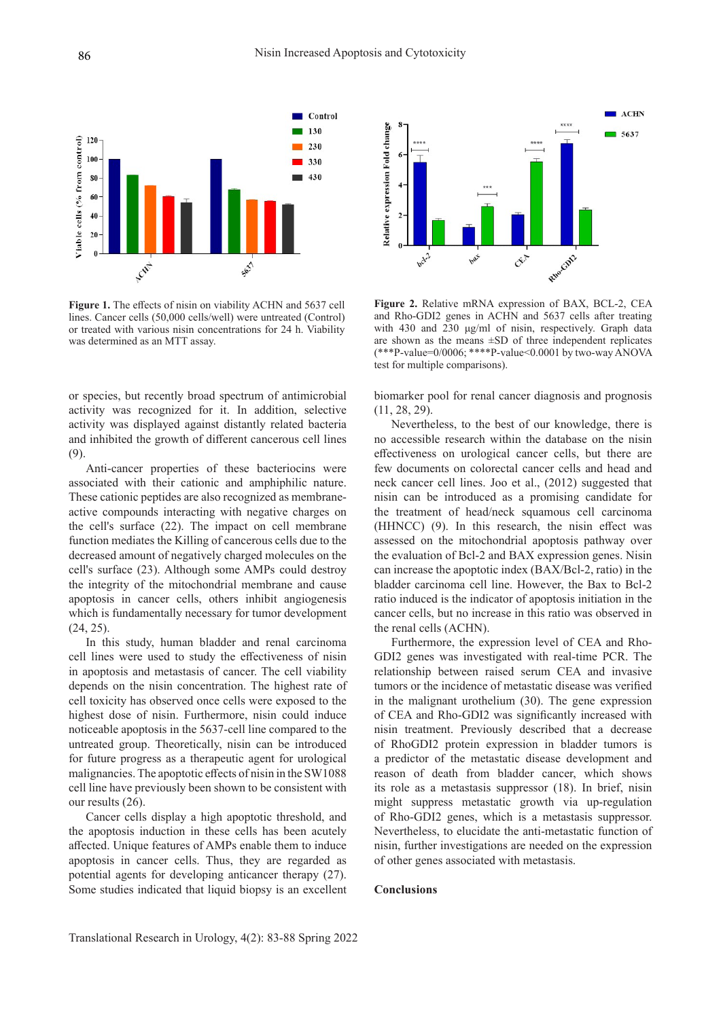

**Figure 1.** The effects of nisin on viability ACHN and 5637 cell lines. Cancer cells (50,000 cells/well) were untreated (Control) or treated with various nisin concentrations for 24 h. Viability was determined as an MTT assay.

or species, but recently broad spectrum of antimicrobial activity was recognized for it. In addition, selective activity was displayed against distantly related bacteria and inhibited the growth of different cancerous cell lines (9).

Anti-cancer properties of these bacteriocins were associated with their cationic and amphiphilic nature. These cationic peptides are also recognized as membraneactive compounds interacting with negative charges on the cell's surface (22). The impact on cell membrane function mediates the Killing of cancerous cells due to the decreased amount of negatively charged molecules on the cell's surface (23). Although some AMPs could destroy the integrity of the mitochondrial membrane and cause apoptosis in cancer cells, others inhibit angiogenesis which is fundamentally necessary for tumor development (24, 25).

In this study, human bladder and renal carcinoma cell lines were used to study the effectiveness of nisin in apoptosis and metastasis of cancer. The cell viability depends on the nisin concentration. The highest rate of cell toxicity has observed once cells were exposed to the highest dose of nisin. Furthermore, nisin could induce noticeable apoptosis in the 5637-cell line compared to the untreated group. Theoretically, nisin can be introduced for future progress as a therapeutic agent for urological malignancies. The apoptotic effects of nisin in the SW1088 cell line have previously been shown to be consistent with our results (26).

Cancer cells display a high apoptotic threshold, and the apoptosis induction in these cells has been acutely affected. Unique features of AMPs enable them to induce apoptosis in cancer cells. Thus, they are regarded as potential agents for developing anticancer therapy (27). Some studies indicated that liquid biopsy is an excellent



**Figure 2.** Relative mRNA expression of BAX, BCL-2, CEA and Rho-GDI2 genes in ACHN and 5637 cells after treating with 430 and 230 μg/ml of nisin, respectively. Graph data are shown as the means  $\pm SD$  of three independent replicates  $(***P-value=0/0006; ***P-value<0.0001$  by two-way ANOVA test for multiple comparisons).

biomarker pool for renal cancer diagnosis and prognosis (11, 28, 29).

Nevertheless, to the best of our knowledge, there is no accessible research within the database on the nisin effectiveness on urological cancer cells, but there are few documents on colorectal cancer cells and head and neck cancer cell lines. Joo et al., (2012) suggested that nisin can be introduced as a promising candidate for the treatment of head/neck squamous cell carcinoma (HHNCC) (9). In this research, the nisin effect was assessed on the mitochondrial apoptosis pathway over the evaluation of Bcl-2 and BAX expression genes. Nisin can increase the apoptotic index (BAX/Bcl-2, ratio) in the bladder carcinoma cell line. However, the Bax to Bcl-2 ratio induced is the indicator of apoptosis initiation in the cancer cells, but no increase in this ratio was observed in the renal cells (ACHN).

Furthermore, the expression level of CEA and Rho-GDI2 genes was investigated with real-time PCR. The relationship between raised serum CEA and invasive tumors or the incidence of metastatic disease was verified in the malignant urothelium (30). The gene expression of CEA and Rho-GDI2 was significantly increased with nisin treatment. Previously described that a decrease of RhoGDI2 protein expression in bladder tumors is a predictor of the metastatic disease development and reason of death from bladder cancer, which shows its role as a metastasis suppressor (18). In brief, nisin might suppress metastatic growth via up-regulation of Rho-GDI2 genes, which is a metastasis suppressor. Nevertheless, to elucidate the anti-metastatic function of nisin, further investigations are needed on the expression of other genes associated with metastasis.

#### **Conclusions**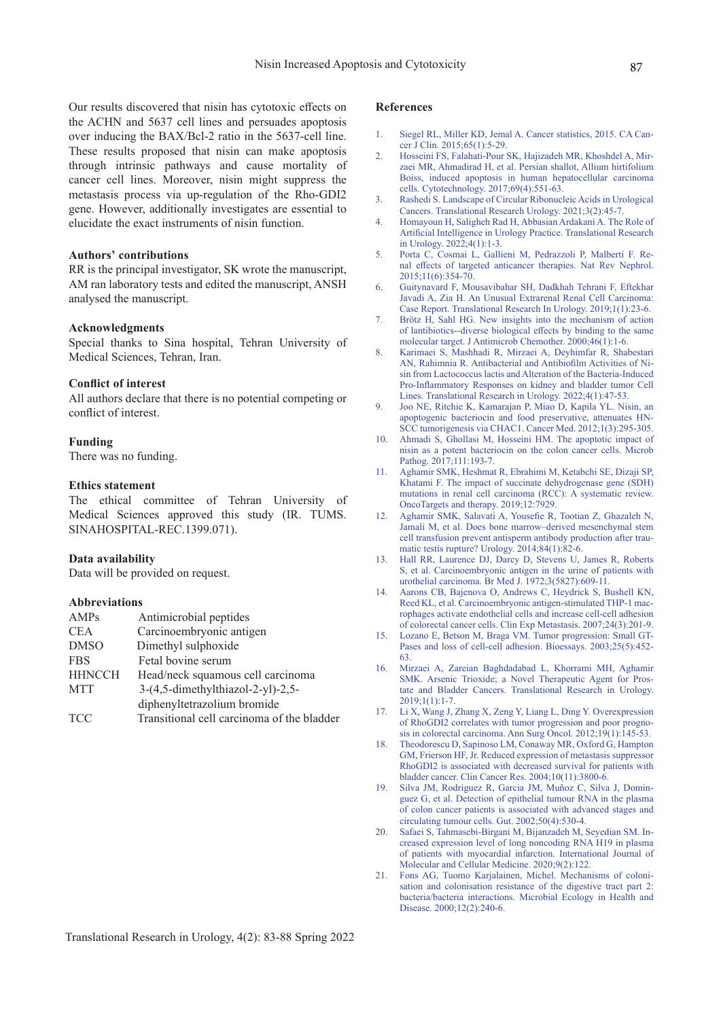Our results discovered that nisin has cytotoxic effects on the ACHN and 5637 cell lines and persuades apoptosis over inducing the BAX/Bcl-2 ratio in the 5637-cell line. These results proposed that nisin can make apoptosis through intrinsic pathways and cause mortality of cancer cell lines. Moreover, nisin might suppress the metastasis process via up-regulation of the Rho-GDI2 gene. However, additionally investigates are essential to elucidate the exact instruments of nisin function.

#### **Authors' contributions**

RR is the principal investigator, SK wrote the manuscript, AM ran laboratory tests and edited the manuscript, ANSH analysed the manuscript.

#### **Acknowledgments**

Special thanks to Sina hospital, Tehran University of Medical Sciences, Tehran, Iran.

#### **Conflict of interest**

All authors declare that there is no potential competing or conflict of interest.

#### **Funding**

There was no funding.

#### **Ethics statement**

The ethical committee of Tehran University of Medical Sciences approved this study (IR. TUMS. SINAHOSPITAL-REC.1399.071).

#### **Data availability**

Data will be provided on request.

#### **Abbreviations**

| Antimicrobial peptides                     |
|--------------------------------------------|
| Carcinoembryonic antigen                   |
| Dimethyl sulphoxide                        |
| Fetal bovine serum                         |
| Head/neck squamous cell carcinoma          |
| $3-(4,5$ -dimethylthiazol-2-yl)-2,5-       |
| diphenyltetrazolium bromide                |
| Transitional cell carcinoma of the bladder |
|                                            |

#### **References**

- 1. Siegel RL, Miller KD, Jemal A. Cancer statistics, 2015. CA Cancer J Clin. 2015;65(1):5-29.
- 2. Hosseini FS, Falahati-Pour SK, Hajizadeh MR, Khoshdel A, Mirzaei MR, Ahmadirad H, et al. Persian shallot, Allium hirtifolium Boiss, induced apoptosis in human hepatocellular carcinoma cells. Cytotechnology. 2017;69(4):551-63.
- 3. Rashedi S. Landscape of Circular Ribonucleic Acids in Urological Cancers. Translational Research Urology. 2021;3(2):45-7.
- 4. Homayoun H, Saligheh Rad H, Abbasian Ardakani A. The Role of Artificial Intelligence in Urology Practice. Translational Research in Urology. 2022;4(1):1-3.
- 5. Porta C, Cosmai L, Gallieni M, Pedrazzoli P, Malberti F. Renal effects of targeted anticancer therapies. Nat Rev Nephrol. 2015;11(6):354-70.
- 6. Guitynavard F, Mousavibahar SH, Dadkhah Tehrani F, Eftekhar Javadi A, Zia H. An Unusual Extrarenal Renal Cell Carcinoma: Case Report. Translational Research In Urology. 2019;1(1):23-6.
- 7. Brötz H, Sahl HG. New insights into the mechanism of action of lantibiotics--diverse biological effects by binding to the same molecular target. J Antimicrob Chemother. 2000;46(1):1-6.
- 8. Karimaei S, Mashhadi R, Mirzaei A, Deyhimfar R, Shabestari AN, Rahimnia R. Antibacterial and Antibiofilm Activities of Nisin from Lactococcus lactis and Alteration of the Bacteria-Induced Pro-Inflammatory Responses on kidney and bladder tumor Cell Lines. Translational Research in Urology. 2022;4(1):47-53.
- 9. Joo NE, Ritchie K, Kamarajan P, Miao D, Kapila YL. Nisin, an apoptogenic bacteriocin and food preservative, attenuates HN-SCC tumorigenesis via CHAC1. Cancer Med. 2012;1(3):295-305.
- 10. Ahmadi S, Ghollasi M, Hosseini HM. The apoptotic impact of nisin as a potent bacteriocin on the colon cancer cells. Microb Pathog. 2017;111:193-7.
- 11. Aghamir SMK, Heshmat R, Ebrahimi M, Ketabchi SE, Dizaji SP, Khatami F. The impact of succinate dehydrogenase gene (SDH) mutations in renal cell carcinoma (RCC): A systematic review. OncoTargets and therapy. 2019;12:7929.
- 12. Aghamir SMK, Salavati A, Yousefie R, Tootian Z, Ghazaleh N, Jamali M, et al. Does bone marrow–derived mesenchymal stem cell transfusion prevent antisperm antibody production after traumatic testis rupture? Urology. 2014;84(1):82-6.
- 13. Hall RR, Laurence DJ, Darcy D, Stevens U, James R, Roberts S, et al. Carcinoembryonic antigen in the urine of patients with urothelial carcinoma. Br Med J. 1972;3(5827):609-11.
- 14. Aarons CB, Bajenova O, Andrews C, Heydrick S, Bushell KN, Reed KL, et al. Carcinoembryonic antigen-stimulated THP-1 macrophages activate endothelial cells and increase cell-cell adhesion of colorectal cancer cells. Clin Exp Metastasis. 2007;24(3):201-9.
- 15. Lozano E, Betson M, Braga VM. Tumor progression: Small GT-Pases and loss of cell-cell adhesion. Bioessays. 2003;25(5):452- 63.
- 16. Mirzaei A, Zareian Baghdadabad L, Khorrami MH, Aghamir SMK. Arsenic Trioxide; a Novel Therapeutic Agent for Prostate and Bladder Cancers. Translational Research in Urology. 2019;1(1):1-7.
- 17. Li X, Wang J, Zhang X, Zeng Y, Liang L, Ding Y. Overexpression of RhoGDI2 correlates with tumor progression and poor prognosis in colorectal carcinoma. Ann Surg Oncol. 2012;19(1):145-53.
- 18. Theodorescu D, Sapinoso LM, Conaway MR, Oxford G, Hampton GM, Frierson HF, Jr. Reduced expression of metastasis suppressor RhoGDI2 is associated with decreased survival for patients with bladder cancer. Clin Cancer Res. 2004;10(11):3800-6.
- 19. Silva JM, Rodriguez R, Garcia JM, Muñoz C, Silva J, Dominguez G, et al. Detection of epithelial tumour RNA in the plasma of colon cancer patients is associated with advanced stages and circulating tumour cells. Gut. 2002;50(4):530-4.
- 20. Safaei S, Tahmasebi-Birgani M, Bijanzadeh M, Seyedian SM. Increased expression level of long noncoding RNA H19 in plasma of patients with myocardial infarction. International Journal of Molecular and Cellular Medicine. 2020;9(2):122.
- 21. Fons AG, Tuomo Karjalainen, Michel. Mechanisms of colonisation and colonisation resistance of the digestive tract part 2: bacteria/bacteria interactions. Microbial Ecology in Health and Disease. 2000;12(2):240-6.